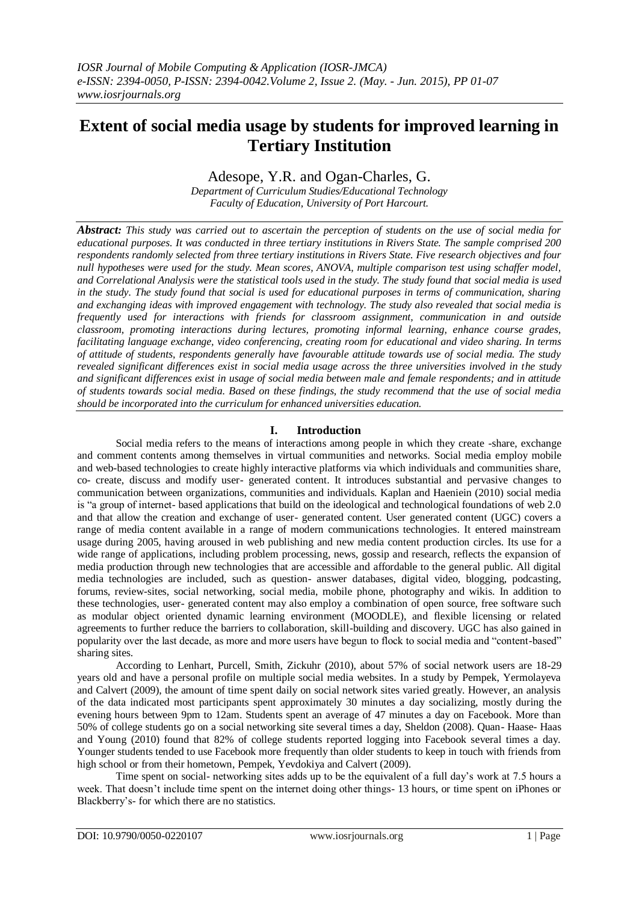# **Extent of social media usage by students for improved learning in Tertiary Institution**

Adesope, Y.R. and Ogan-Charles, G.

*Department of Curriculum Studies/Educational Technology Faculty of Education, University of Port Harcourt.*

*Abstract: This study was carried out to ascertain the perception of students on the use of social media for educational purposes. It was conducted in three tertiary institutions in Rivers State. The sample comprised 200 respondents randomly selected from three tertiary institutions in Rivers State. Five research objectives and four null hypotheses were used for the study. Mean scores, ANOVA, multiple comparison test using schaffer model, and Correlational Analysis were the statistical tools used in the study. The study found that social media is used in the study. The study found that social is used for educational purposes in terms of communication, sharing and exchanging ideas with improved engagement with technology. The study also revealed that social media is frequently used for interactions with friends for classroom assignment, communication in and outside classroom, promoting interactions during lectures, promoting informal learning, enhance course grades, facilitating language exchange, video conferencing, creating room for educational and video sharing. In terms of attitude of students, respondents generally have favourable attitude towards use of social media. The study revealed significant differences exist in social media usage across the three universities involved in the study and significant differences exist in usage of social media between male and female respondents; and in attitude of students towards social media. Based on these findings, the study recommend that the use of social media should be incorporated into the curriculum for enhanced universities education.*

# **I. Introduction**

Social media refers to the means of interactions among people in which they create -share, exchange and comment contents among themselves in virtual communities and networks. Social media employ mobile and web-based technologies to create highly interactive platforms via which individuals and communities share, co- create, discuss and modify user- generated content. It introduces substantial and pervasive changes to communication between organizations, communities and individuals. Kaplan and Haeniein (2010) social media is "a group of internet- based applications that build on the ideological and technological foundations of web 2.0 and that allow the creation and exchange of user- generated content. User generated content (UGC) covers a range of media content available in a range of modern communications technologies. It entered mainstream usage during 2005, having aroused in web publishing and new media content production circles. Its use for a wide range of applications, including problem processing, news, gossip and research, reflects the expansion of media production through new technologies that are accessible and affordable to the general public. All digital media technologies are included, such as question- answer databases, digital video, blogging, podcasting, forums, review-sites, social networking, social media, mobile phone, photography and wikis. In addition to these technologies, user- generated content may also employ a combination of open source, free software such as modular object oriented dynamic learning environment (MOODLE), and flexible licensing or related agreements to further reduce the barriers to collaboration, skill-building and discovery. UGC has also gained in popularity over the last decade, as more and more users have begun to flock to social media and "content-based" sharing sites.

According to Lenhart, Purcell, Smith, Zickuhr (2010), about 57% of social network users are 18-29 years old and have a personal profile on multiple social media websites. In a study by Pempek, Yermolayeva and Calvert (2009), the amount of time spent daily on social network sites varied greatly. However, an analysis of the data indicated most participants spent approximately 30 minutes a day socializing, mostly during the evening hours between 9pm to 12am. Students spent an average of 47 minutes a day on Facebook. More than 50% of college students go on a social networking site several times a day, Sheldon (2008). Quan- Haase- Haas and Young (2010) found that 82% of college students reported logging into Facebook several times a day. Younger students tended to use Facebook more frequently than older students to keep in touch with friends from high school or from their hometown, Pempek, Yevdokiya and Calvert (2009).

Time spent on social- networking sites adds up to be the equivalent of a full day's work at 7.5 hours a week. That doesn't include time spent on the internet doing other things- 13 hours, or time spent on iPhones or Blackberry's- for which there are no statistics.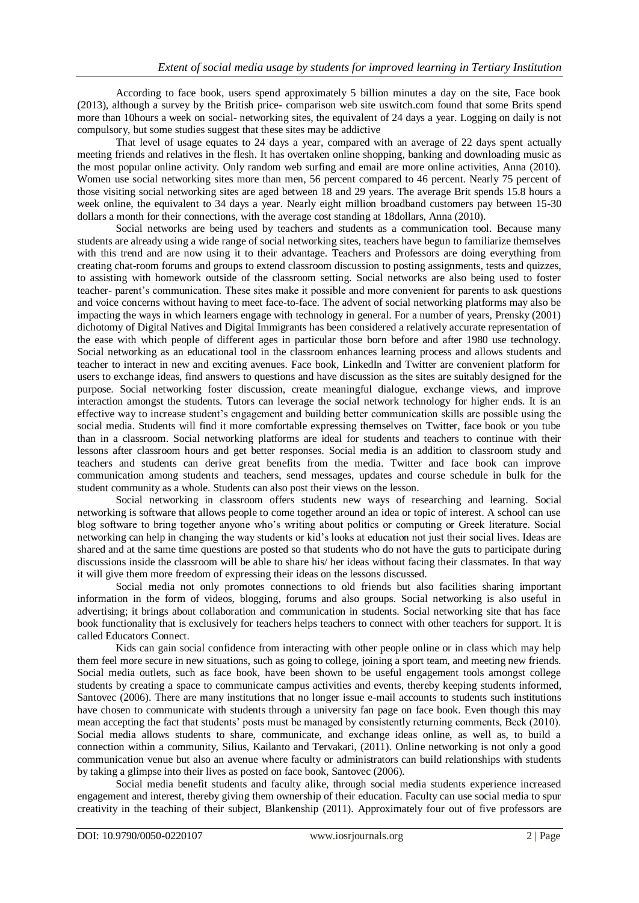According to face book, users spend approximately 5 billion minutes a day on the site, Face book (2013), although a survey by the British price- comparison web site uswitch.com found that some Brits spend more than 10hours a week on social- networking sites, the equivalent of 24 days a year. Logging on daily is not compulsory, but some studies suggest that these sites may be addictive

That level of usage equates to 24 days a year, compared with an average of 22 days spent actually meeting friends and relatives in the flesh. It has overtaken online shopping, banking and downloading music as the most popular online activity. Only random web surfing and email are more online activities, Anna (2010). Women use social networking sites more than men, 56 percent compared to 46 percent. Nearly 75 percent of those visiting social networking sites are aged between 18 and 29 years. The average Brit spends 15.8 hours a week online, the equivalent to 34 days a year. Nearly eight million broadband customers pay between 15-30 dollars a month for their connections, with the average cost standing at 18dollars, Anna (2010).

Social networks are being used by teachers and students as a communication tool. Because many students are already using a wide range of social networking sites, teachers have begun to familiarize themselves with this trend and are now using it to their advantage. Teachers and Professors are doing everything from creating chat-room forums and groups to extend classroom discussion to posting assignments, tests and quizzes, to assisting with homework outside of the classroom setting. Social networks are also being used to foster teacher- parent's communication. These sites make it possible and more convenient for parents to ask questions and voice concerns without having to meet face-to-face. The advent of social networking platforms may also be impacting the ways in which learners engage with technology in general. For a number of years, Prensky (2001) dichotomy of Digital Natives and Digital Immigrants has been considered a relatively accurate representation of the ease with which people of different ages in particular those born before and after 1980 use technology. Social networking as an educational tool in the classroom enhances learning process and allows students and teacher to interact in new and exciting avenues. Face book, LinkedIn and Twitter are convenient platform for users to exchange ideas, find answers to questions and have discussion as the sites are suitably designed for the purpose. Social networking foster discussion, create meaningful dialogue, exchange views, and improve interaction amongst the students. Tutors can leverage the social network technology for higher ends. It is an effective way to increase student's engagement and building better communication skills are possible using the social media. Students will find it more comfortable expressing themselves on Twitter, face book or you tube than in a classroom. Social networking platforms are ideal for students and teachers to continue with their lessons after classroom hours and get better responses. Social media is an addition to classroom study and teachers and students can derive great benefits from the media. Twitter and face book can improve communication among students and teachers, send messages, updates and course schedule in bulk for the student community as a whole. Students can also post their views on the lesson.

Social networking in classroom offers students new ways of researching and learning. Social networking is software that allows people to come together around an idea or topic of interest. A school can use blog software to bring together anyone who's writing about politics or computing or Greek literature. Social networking can help in changing the way students or kid's looks at education not just their social lives. Ideas are shared and at the same time questions are posted so that students who do not have the guts to participate during discussions inside the classroom will be able to share his/ her ideas without facing their classmates. In that way it will give them more freedom of expressing their ideas on the lessons discussed.

Social media not only promotes connections to old friends but also facilities sharing important information in the form of videos, blogging, forums and also groups. Social networking is also useful in advertising; it brings about collaboration and communication in students. Social networking site that has face book functionality that is exclusively for teachers helps teachers to connect with other teachers for support. It is called Educators Connect.

Kids can gain social confidence from interacting with other people online or in class which may help them feel more secure in new situations, such as going to college, joining a sport team, and meeting new friends. Social media outlets, such as face book, have been shown to be useful engagement tools amongst college students by creating a space to communicate campus activities and events, thereby keeping students informed, Santovec (2006). There are many institutions that no longer issue e-mail accounts to students such institutions have chosen to communicate with students through a university fan page on face book. Even though this may mean accepting the fact that students' posts must be managed by consistently returning comments, Beck (2010). Social media allows students to share, communicate, and exchange ideas online, as well as, to build a connection within a community, Silius, Kailanto and Tervakari, (2011). Online networking is not only a good communication venue but also an avenue where faculty or administrators can build relationships with students by taking a glimpse into their lives as posted on face book, Santovec (2006).

Social media benefit students and faculty alike, through social media students experience increased engagement and interest, thereby giving them ownership of their education. Faculty can use social media to spur creativity in the teaching of their subject, Blankenship (2011). Approximately four out of five professors are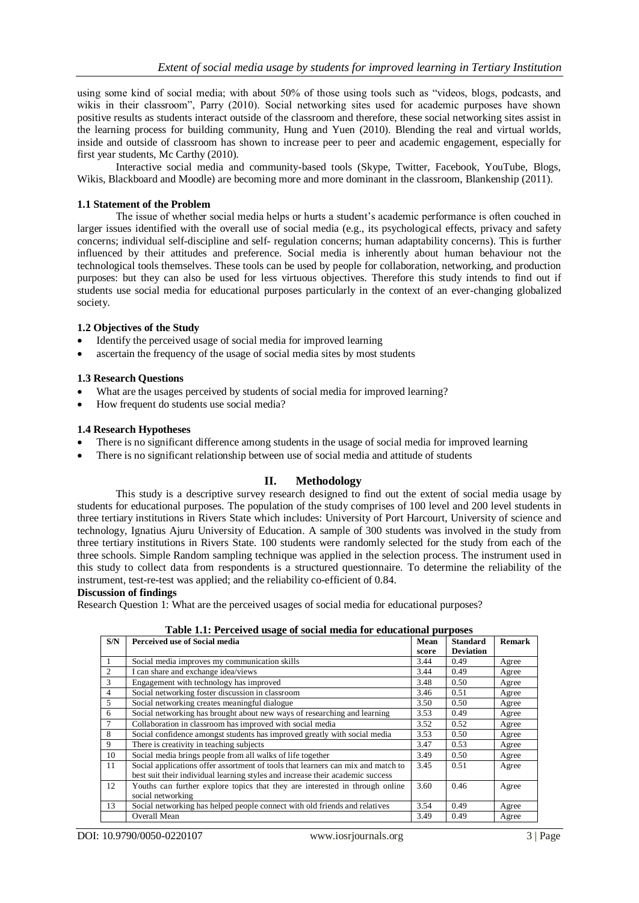using some kind of social media; with about 50% of those using tools such as "videos, blogs, podcasts, and wikis in their classroom", Parry (2010). Social networking sites used for academic purposes have shown positive results as students interact outside of the classroom and therefore, these social networking sites assist in the learning process for building community, Hung and Yuen (2010). Blending the real and virtual worlds, inside and outside of classroom has shown to increase peer to peer and academic engagement, especially for first year students, Mc Carthy (2010).

Interactive social media and community-based tools (Skype, Twitter, Facebook, YouTube, Blogs, Wikis, Blackboard and Moodle) are becoming more and more dominant in the classroom, Blankenship (2011).

## **1.1 Statement of the Problem**

The issue of whether social media helps or hurts a student's academic performance is often couched in larger issues identified with the overall use of social media (e.g., its psychological effects, privacy and safety concerns; individual self-discipline and self- regulation concerns; human adaptability concerns). This is further influenced by their attitudes and preference. Social media is inherently about human behaviour not the technological tools themselves. These tools can be used by people for collaboration, networking, and production purposes: but they can also be used for less virtuous objectives. Therefore this study intends to find out if students use social media for educational purposes particularly in the context of an ever-changing globalized society.

#### **1.2 Objectives of the Study**

- Identify the perceived usage of social media for improved learning
- ascertain the frequency of the usage of social media sites by most students

#### **1.3 Research Questions**

- What are the usages perceived by students of social media for improved learning?
- How frequent do students use social media?

### **1.4 Research Hypotheses**

- There is no significant difference among students in the usage of social media for improved learning
- There is no significant relationship between use of social media and attitude of students

## **II. Methodology**

This study is a descriptive survey research designed to find out the extent of social media usage by students for educational purposes. The population of the study comprises of 100 level and 200 level students in three tertiary institutions in Rivers State which includes: University of Port Harcourt, University of science and technology, Ignatius Ajuru University of Education. A sample of 300 students was involved in the study from three tertiary institutions in Rivers State. 100 students were randomly selected for the study from each of the three schools. Simple Random sampling technique was applied in the selection process. The instrument used in this study to collect data from respondents is a structured questionnaire. To determine the reliability of the instrument, test-re-test was applied; and the reliability co-efficient of 0.84.

#### **Discussion of findings**

Research Question 1: What are the perceived usages of social media for educational purposes?

|                | Tuoit 1111 I electreu uouge of boenn meum for eulentomur purposes                |       |                  |               |  |  |
|----------------|----------------------------------------------------------------------------------|-------|------------------|---------------|--|--|
| S/N            | Perceived use of Social media                                                    | Mean  | <b>Standard</b>  | <b>Remark</b> |  |  |
|                |                                                                                  | score | <b>Deviation</b> |               |  |  |
| $\mathbf{1}$   | Social media improves my communication skills                                    | 3.44  | 0.49             | Agree         |  |  |
| 2              | I can share and exchange idea/views                                              | 3.44  | 0.49             | Agree         |  |  |
| 3              | Engagement with technology has improved                                          | 3.48  | 0.50             | Agree         |  |  |
| $\overline{4}$ | Social networking foster discussion in classroom                                 | 3.46  | 0.51             | Agree         |  |  |
| 5              | Social networking creates meaningful dialogue                                    | 3.50  | 0.50             | Agree         |  |  |
| 6              | Social networking has brought about new ways of researching and learning         | 3.53  | 0.49             | Agree         |  |  |
| $\overline{7}$ | Collaboration in classroom has improved with social media                        | 3.52  | 0.52             | Agree         |  |  |
| 8              | Social confidence amongst students has improved greatly with social media        | 3.53  | 0.50             | Agree         |  |  |
| 9              | There is creativity in teaching subjects                                         | 3.47  | 0.53             | Agree         |  |  |
| 10             | Social media brings people from all walks of life together                       | 3.49  | 0.50             | Agree         |  |  |
| 11             | Social applications offer assortment of tools that learners can mix and match to | 3.45  | 0.51             | Agree         |  |  |
|                | best suit their individual learning styles and increase their academic success   |       |                  |               |  |  |
| 12             | Youths can further explore topics that they are interested in through online     | 3.60  | 0.46             | Agree         |  |  |
|                | social networking                                                                |       |                  |               |  |  |
| 13             | Social networking has helped people connect with old friends and relatives       | 3.54  | 0.49             | Agree         |  |  |
|                | Overall Mean                                                                     | 3.49  | 0.49             | Agree         |  |  |

## **Table 1.1: Perceived usage of social media for educational purposes**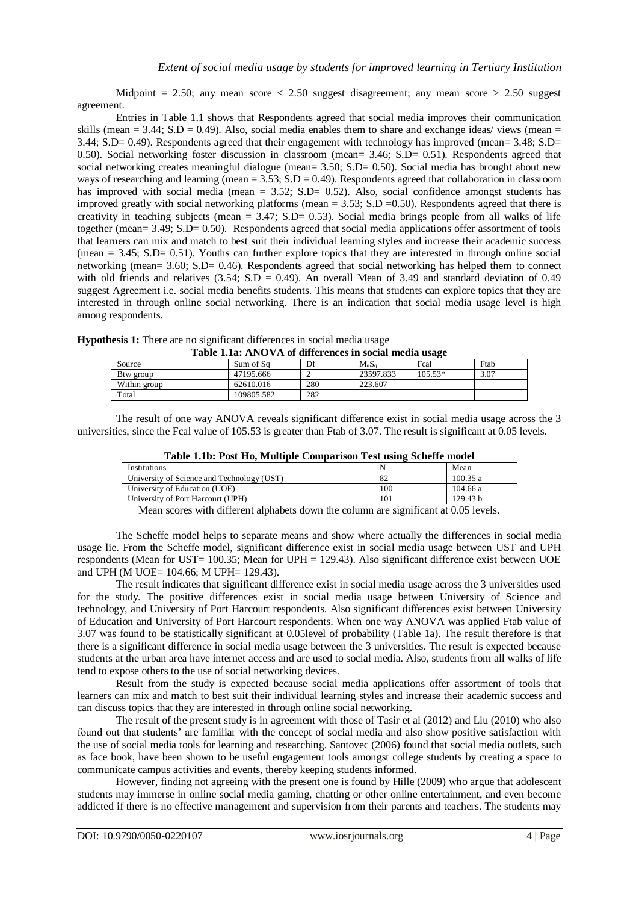Midpoint = 2.50; any mean score  $\lt$  2.50 suggest disagreement; any mean score  $\gt$  2.50 suggest agreement.

Entries in Table 1.1 shows that Respondents agreed that social media improves their communication skills (mean  $= 3.44$ ; S.D  $= 0.49$ ). Also, social media enables them to share and exchange ideas/ views (mean  $=$ 3.44; S.D= 0.49). Respondents agreed that their engagement with technology has improved (mean= 3.48; S.D= 0.50). Social networking foster discussion in classroom (mean= 3.46; S.D= 0.51). Respondents agreed that social networking creates meaningful dialogue (mean= 3.50; S.D= 0.50). Social media has brought about new ways of researching and learning (mean =  $3.53$ ; S.D = 0.49). Respondents agreed that collaboration in classroom has improved with social media (mean = 3.52; S.D= 0.52). Also, social confidence amongst students has improved greatly with social networking platforms (mean  $= 3.53$ ; S.D  $= 0.50$ ). Respondents agreed that there is creativity in teaching subjects (mean  $= 3.47$ ; S.D= 0.53). Social media brings people from all walks of life together (mean= 3.49; S.D= 0.50). Respondents agreed that social media applications offer assortment of tools that learners can mix and match to best suit their individual learning styles and increase their academic success (mean  $= 3.45$ ; S.D $= 0.51$ ). Youths can further explore topics that they are interested in through online social networking (mean= 3.60; S.D= 0.46). Respondents agreed that social networking has helped them to connect with old friends and relatives (3.54; S.D = 0.49). An overall Mean of 3.49 and standard deviation of 0.49 suggest Agreement i.e. social media benefits students. This means that students can explore topics that they are interested in through online social networking. There is an indication that social media usage level is high among respondents.

| <b>Hypothesis 1:</b> There are no significant differences in social media usage |                                                       |
|---------------------------------------------------------------------------------|-------------------------------------------------------|
|                                                                                 | Toble 1 10: ANOVA of differences in secial media uses |

| Table 1.1a: AlvO v A of differences in social media usage |            |     |           |           |      |
|-----------------------------------------------------------|------------|-----|-----------|-----------|------|
| Source                                                    | Sum of Sq  | Df  | $M_nS_n$  | Fcal      | Ftab |
| Btw group                                                 | 47195.666  |     | 23597.833 | $105.53*$ | 3.07 |
| Within group                                              | 62610.016  | 280 | 223.607   |           |      |
| Total                                                     | 109805.582 | 282 |           |           |      |

The result of one way ANOVA reveals significant difference exist in social media usage across the 3 universities, since the Fcal value of 105.53 is greater than Ftab of 3.07. The result is significant at 0.05 levels.

| <b>Institutions</b>                        |     | Mean     |
|--------------------------------------------|-----|----------|
| University of Science and Technology (UST) | 82  | 100.35a  |
| University of Education (UOE)              | 100 | 104.66 a |
| University of Port Harcourt (UPH)          | 101 | 129.43 b |
|                                            |     |          |

**Table 1.1b: Post Ho, Multiple Comparison Test using Scheffe model**

Mean scores with different alphabets down the column are significant at 0.05 levels.

The Scheffe model helps to separate means and show where actually the differences in social media usage lie. From the Scheffe model, significant difference exist in social media usage between UST and UPH respondents (Mean for UST= 100.35; Mean for UPH = 129.43). Also significant difference exist between UOE and UPH (M UOE= 104.66; M UPH= 129.43).

The result indicates that significant difference exist in social media usage across the 3 universities used for the study. The positive differences exist in social media usage between University of Science and technology, and University of Port Harcourt respondents. Also significant differences exist between University of Education and University of Port Harcourt respondents. When one way ANOVA was applied Ftab value of 3.07 was found to be statistically significant at 0.05level of probability (Table 1a). The result therefore is that there is a significant difference in social media usage between the 3 universities. The result is expected because students at the urban area have internet access and are used to social media. Also, students from all walks of life tend to expose others to the use of social networking devices.

Result from the study is expected because social media applications offer assortment of tools that learners can mix and match to best suit their individual learning styles and increase their academic success and can discuss topics that they are interested in through online social networking.

The result of the present study is in agreement with those of Tasir et al (2012) and Liu (2010) who also found out that students' are familiar with the concept of social media and also show positive satisfaction with the use of social media tools for learning and researching. Santovec (2006) found that social media outlets, such as face book, have been shown to be useful engagement tools amongst college students by creating a space to communicate campus activities and events, thereby keeping students informed.

However, finding not agreeing with the present one is found by Hille (2009) who argue that adolescent students may immerse in online social media gaming, chatting or other online entertainment, and even become addicted if there is no effective management and supervision from their parents and teachers. The students may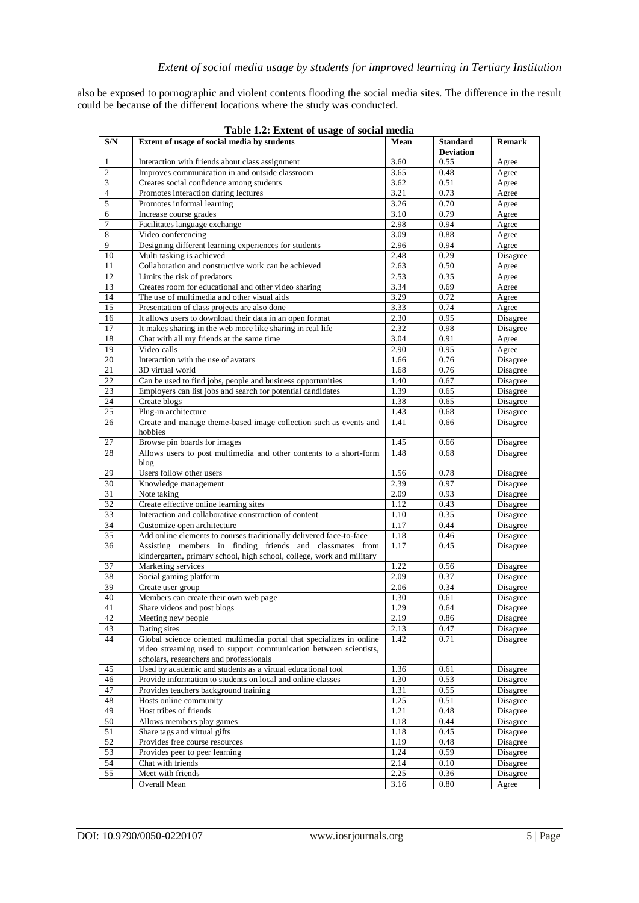also be exposed to pornographic and violent contents flooding the social media sites. The difference in the result could be because of the different locations where the study was conducted.

| S/N             | Extent of usage of social media by students                                  |      | <b>Standard</b><br><b>Deviation</b> | Remark   |
|-----------------|------------------------------------------------------------------------------|------|-------------------------------------|----------|
| 1               | Interaction with friends about class assignment                              | 3.60 | 0.55                                | Agree    |
| 2               | Improves communication in and outside classroom                              | 3.65 | 0.48                                | Agree    |
| 3               | Creates social confidence among students                                     |      | 0.51                                | Agree    |
| $\overline{4}$  | Promotes interaction during lectures                                         | 3.21 | 0.73                                | Agree    |
| 5               | Promotes informal learning                                                   | 3.26 | 0.70                                | Agree    |
| 6               | Increase course grades                                                       | 3.10 | 0.79                                | Agree    |
| 7               | Facilitates language exchange                                                | 2.98 | 0.94                                | Agree    |
| 8               | Video conferencing                                                           | 3.09 | 0.88                                | Agree    |
| 9               | Designing different learning experiences for students                        | 2.96 | 0.94                                | Agree    |
| 10              | Multi tasking is achieved                                                    | 2.48 | 0.29                                | Disagree |
| 11              | Collaboration and constructive work can be achieved                          | 2.63 | 0.50                                | Agree    |
| 12              | Limits the risk of predators                                                 | 2.53 | 0.35                                | Agree    |
| 13              | Creates room for educational and other video sharing                         | 3.34 | 0.69                                | Agree    |
| 14              | The use of multimedia and other visual aids                                  | 3.29 | 0.72                                | Agree    |
| 15              | Presentation of class projects are also done                                 | 3.33 | 0.74                                | Agree    |
| 16              | It allows users to download their data in an open format                     | 2.30 | 0.95                                | Disagree |
| 17              | It makes sharing in the web more like sharing in real life                   | 2.32 | 0.98                                | Disagree |
| 18              | Chat with all my friends at the same time                                    | 3.04 | 0.91                                | Agree    |
| 19              | Video calls                                                                  | 2.90 | 0.95                                | Agree    |
| 20              | Interaction with the use of avatars                                          | 1.66 | 0.76                                | Disagree |
| 21              | 3D virtual world                                                             | 1.68 | 0.76                                | Disagree |
| 22              | Can be used to find jobs, people and business opportunities                  | 1.40 | 0.67                                | Disagree |
| 23              | Employers can list jobs and search for potential candidates                  | 1.39 | 0.65                                | Disagree |
| 24              | Create blogs                                                                 | 1.38 | 0.65                                | Disagree |
| 25              | Plug-in architecture                                                         | 1.43 | 0.68                                | Disagree |
| 26              | Create and manage theme-based image collection such as events and<br>hobbies | 1.41 | 0.66                                | Disagree |
| 27              | Browse pin boards for images                                                 | 1.45 | 0.66                                | Disagree |
| 28              | Allows users to post multimedia and other contents to a short-form<br>blog   | 1.48 | 0.68                                | Disagree |
| 29              | Users follow other users                                                     | 1.56 | 0.78                                | Disagree |
| 30              | Knowledge management                                                         | 2.39 | 0.97                                | Disagree |
| 31              | Note taking                                                                  | 2.09 | 0.93                                | Disagree |
| $\overline{32}$ | Create effective online learning sites                                       | 1.12 | 0.43                                | Disagree |
| 33              | Interaction and collaborative construction of content                        | 1.10 | 0.35                                | Disagree |
| 34              | Customize open architecture                                                  | 1.17 | 0.44                                | Disagree |
| 35              | Add online elements to courses traditionally delivered face-to-face          | 1.18 | 0.46                                | Disagree |
| 36              | Assisting members in finding friends and classmates from                     | 1.17 | 0.45                                | Disagree |
|                 | kindergarten, primary school, high school, college, work and military        |      |                                     |          |
| 37              | Marketing services                                                           | 1.22 | 0.56                                | Disagree |
| 38              | Social gaming platform                                                       | 2.09 | 0.37                                | Disagree |
| 39              | Create user group                                                            | 2.06 | 0.34                                | Disagree |
| 40              | Members can create their own web page                                        | 1.30 | 0.61                                | Disagree |
| 41              | Share videos and post blogs                                                  | 1.29 | 0.64                                | Disagree |
| 42              | Meeting new people                                                           | 2.19 | 0.86                                | Disagree |
| 43              | Dating sites                                                                 | 2.13 | 0.47                                | Disagree |
| 44              | Global science oriented multimedia portal that specializes in online         | 1.42 | 0.71                                | Disagree |
|                 | video streaming used to support communication between scientists,            |      |                                     |          |
|                 | scholars, researchers and professionals                                      |      |                                     |          |
| 45              | Used by academic and students as a virtual educational tool                  | 1.36 | 0.61                                | Disagree |
| 46              | Provide information to students on local and online classes                  | 1.30 | 0.53                                | Disagree |
| 47              | Provides teachers background training                                        | 1.31 | 0.55                                | Disagree |
| 48              | Hosts online community                                                       | 1.25 | 0.51                                | Disagree |
| 49              | Host tribes of friends                                                       | 1.21 | 0.48                                | Disagree |
| 50              | Allows members play games                                                    | 1.18 | 0.44                                | Disagree |
| 51              | Share tags and virtual gifts                                                 | 1.18 | 0.45                                | Disagree |
| 52              | Provides free course resources                                               | 1.19 | 0.48                                | Disagree |
| 53              | Provides peer to peer learning                                               | 1.24 | 0.59                                | Disagree |
| 54              | Chat with friends                                                            | 2.14 | 0.10                                | Disagree |
| 55              | Meet with friends                                                            | 2.25 | 0.36                                | Disagree |
|                 | Overall Mean                                                                 | 3.16 | 0.80                                | Agree    |

| Table 1.2: Extent of usage of social media |  |
|--------------------------------------------|--|
|--------------------------------------------|--|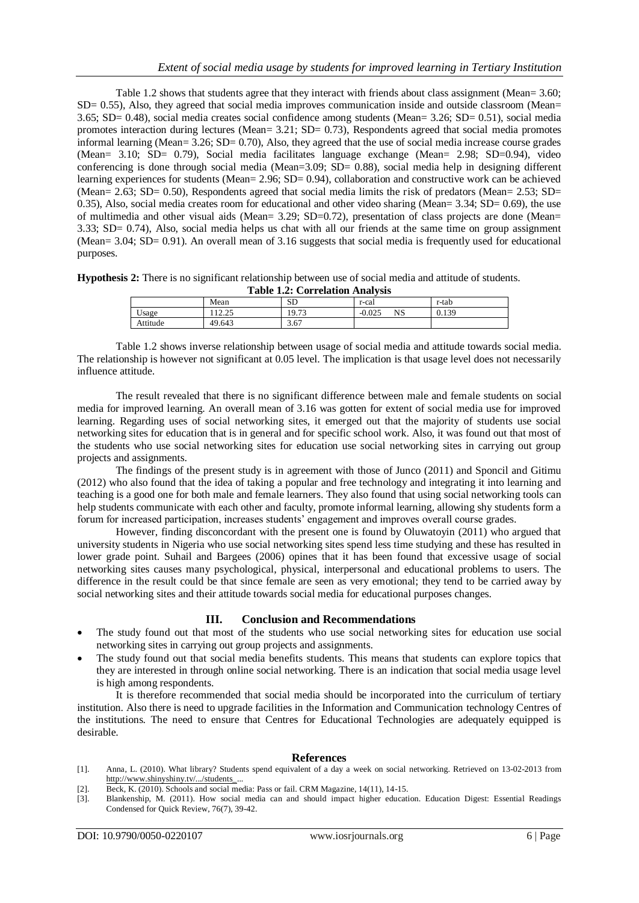Table 1.2 shows that students agree that they interact with friends about class assignment (Mean= 3.60; SD= 0.55), Also, they agreed that social media improves communication inside and outside classroom (Mean= 3.65; SD= 0.48), social media creates social confidence among students (Mean= 3.26; SD= 0.51), social media promotes interaction during lectures (Mean=  $3.21$ ; SD=  $0.73$ ), Respondents agreed that social media promotes informal learning (Mean=  $3.26$ ; SD= 0.70), Also, they agreed that the use of social media increase course grades (Mean= 3.10; SD= 0.79), Social media facilitates language exchange (Mean= 2.98; SD=0.94), video conferencing is done through social media (Mean=3.09; SD= 0.88), social media help in designing different learning experiences for students (Mean= 2.96; SD= 0.94), collaboration and constructive work can be achieved (Mean= 2.63; SD= 0.50), Respondents agreed that social media limits the risk of predators (Mean= 2.53; SD= 0.35), Also, social media creates room for educational and other video sharing (Mean= 3.34; SD= 0.69), the use of multimedia and other visual aids (Mean= 3.29; SD=0.72), presentation of class projects are done (Mean= 3.33; SD= 0.74), Also, social media helps us chat with all our friends at the same time on group assignment (Mean= 3.04; SD= 0.91). An overall mean of 3.16 suggests that social media is frequently used for educational purposes.

**Hypothesis 2:** There is no significant relationship between use of social media and attitude of students.

| <b>Table 1.2: Correlation Analysis</b> |        |       |                |       |  |
|----------------------------------------|--------|-------|----------------|-------|--|
|                                        | Mean   | SD    | r-cal          | r-tab |  |
| Usage                                  |        | 19.73 | $-0.025$<br>NS | 0.139 |  |
| Attitude                               | 49.643 | 3.67  |                |       |  |

Table 1.2 shows inverse relationship between usage of social media and attitude towards social media. The relationship is however not significant at 0.05 level. The implication is that usage level does not necessarily influence attitude.

The result revealed that there is no significant difference between male and female students on social media for improved learning. An overall mean of 3.16 was gotten for extent of social media use for improved learning. Regarding uses of social networking sites, it emerged out that the majority of students use social networking sites for education that is in general and for specific school work. Also, it was found out that most of the students who use social networking sites for education use social networking sites in carrying out group projects and assignments.

The findings of the present study is in agreement with those of Junco (2011) and Sponcil and Gitimu (2012) who also found that the idea of taking a popular and free technology and integrating it into learning and teaching is a good one for both male and female learners. They also found that using social networking tools can help students communicate with each other and faculty, promote informal learning, allowing shy students form a forum for increased participation, increases students' engagement and improves overall course grades.

However, finding disconcordant with the present one is found by Oluwatoyin (2011) who argued that university students in Nigeria who use social networking sites spend less time studying and these has resulted in lower grade point. Suhail and Bargees (2006) opines that it has been found that excessive usage of social networking sites causes many psychological, physical, interpersonal and educational problems to users. The difference in the result could be that since female are seen as very emotional; they tend to be carried away by social networking sites and their attitude towards social media for educational purposes changes.

## **III. Conclusion and Recommendations**

- The study found out that most of the students who use social networking sites for education use social networking sites in carrying out group projects and assignments.
- The study found out that social media benefits students. This means that students can explore topics that they are interested in through online social networking. There is an indication that social media usage level is high among respondents.

It is therefore recommended that social media should be incorporated into the curriculum of tertiary institution. Also there is need to upgrade facilities in the Information and Communication technology Centres of the institutions. The need to ensure that Centres for Educational Technologies are adequately equipped is desirable.

#### **References**

- [1]. Anna, L. (2010). What library? Students spend equivalent of a day a week on social networking. Retrieved on 13-02-2013 from [http://www.shinyshiny.tv/.../students\\_.](http://www.shinyshiny.tv/.../students_)..
- [2]. Beck, K. (2010). Schools and social media: Pass or fail. CRM Magazine, 14(11), 14-15.
- [3]. Blankenship, M. (2011). How social media can and should impact higher education. Education Digest: Essential Readings Condensed for Quick Review, 76(7), 39-42.